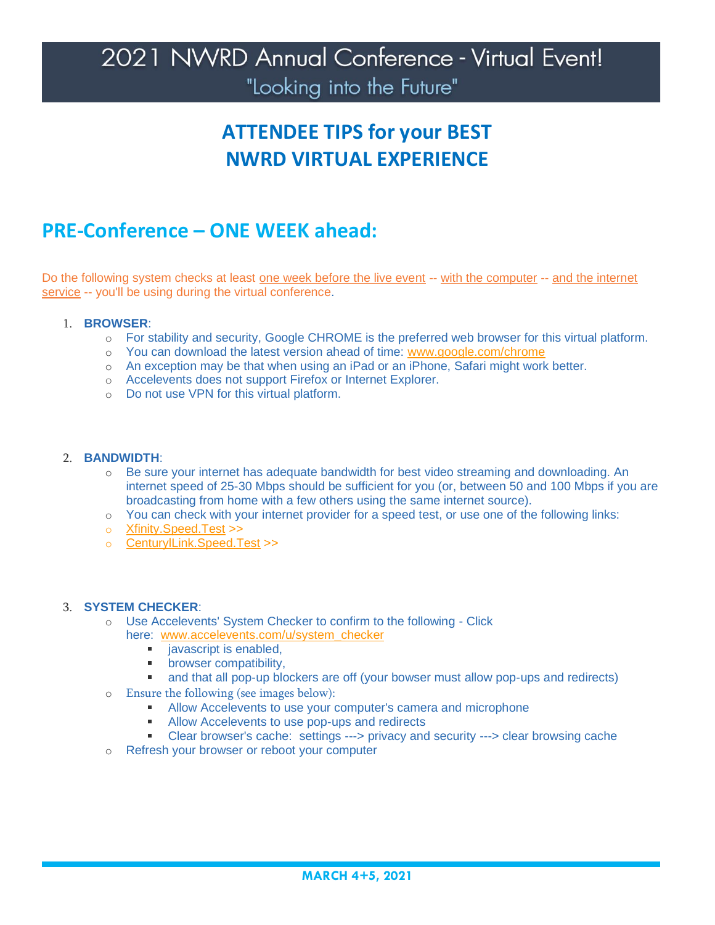## **ATTENDEE TIPS for your BEST NWRD VIRTUAL EXPERIENCE**

#### **PRE-Conference – ONE WEEK ahead:**

Do the following system checks at least one week before the live event -- with the computer -- and the internet service -- you'll be using during the virtual conference.

#### 1. **BROWSER**:

- o For stability and security, Google CHROME is the preferred web browser for this virtual platform.
- o You can download the latest version ahead of time: [www.google.com/chrome](https://www.google.com/chrome/)
- o An exception may be that when using an iPad or an iPhone, Safari might work better.
- o Accelevents does not support Firefox or Internet Explorer.
- o Do not use VPN for this virtual platform.

#### 2. **BANDWIDTH**:

- o Be sure your internet has adequate bandwidth for best video streaming and downloading. An internet speed of 25-30 Mbps should be sufficient for you (or, between 50 and 100 Mbps if you are broadcasting from home with a few others using the same internet source).
- o You can check with your internet provider for a speed test, or use one of the following links:
- o [Xfinity.Speed.Test](https://speedtest.xfinity.com/) >>
- o [CenturylLink.Speed.Test](https://www.centurylink.com/home/help/internet/internet-speed-test.html) >>

#### 3. **SYSTEM CHECKER**:

- o Use Accelevents' System Checker to confirm to the following Click
	- here: [www.accelevents.com/u/system\\_checker](https://www.accelevents.com/u/system_checker) 
		- $\mathbf{m}$ javascript is enabled,
		- **•** browser compatibility,
		- and that all pop-up blockers are off (your bowser must allow pop-ups and redirects)
- o Ensure the following (see images below):
	- **Allow Accelevents to use your computer's camera and microphone**
	- Allow Accelevents to use pop-ups and redirects
	- Clear browser's cache: settings ---> privacy and security ---> clear browsing cache
- o Refresh your browser or reboot your computer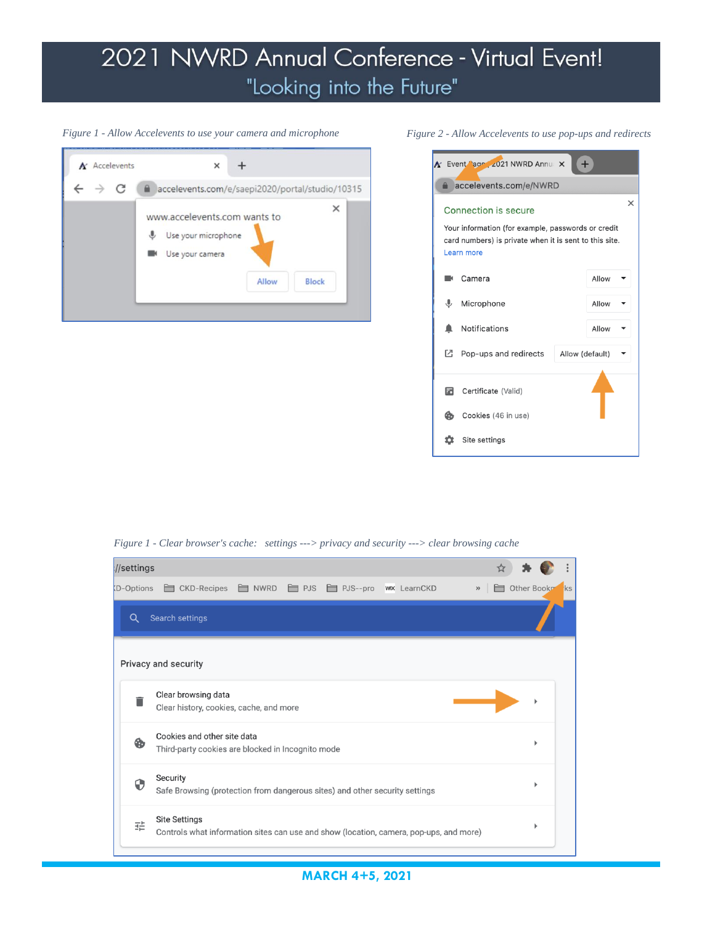#### *Figure 1 - Allow Accelevents to use your camera and microphone*





*Figure 1 - Clear browser's cache: settings ---> privacy and security ---> clear browsing cache*



*Figure 2 - Allow Accelevents to use pop-ups and redirects*

**MARCH 4+5, 2021**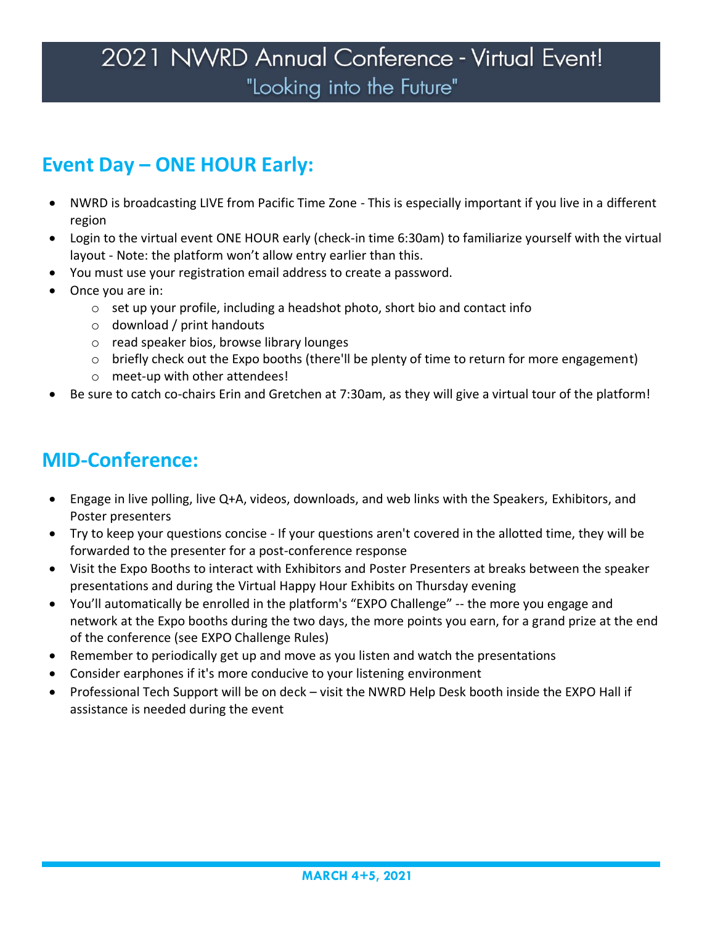### **Event Day – ONE HOUR Early:**

- NWRD is broadcasting LIVE from Pacific Time Zone This is especially important if you live in a different region
- Login to the virtual event ONE HOUR early (check-in time 6:30am) to familiarize yourself with the virtual layout - Note: the platform won't allow entry earlier than this.
- You must use your registration email address to create a password.
- Once you are in:
	- o set up your profile, including a headshot photo, short bio and contact info
	- o download / print handouts
	- o read speaker bios, browse library lounges
	- o briefly check out the Expo booths (there'll be plenty of time to return for more engagement)
	- o meet-up with other attendees!
- Be sure to catch co-chairs Erin and Gretchen at 7:30am, as they will give a virtual tour of the platform!

### **MID-Conference:**

- Engage in live polling, live Q+A, videos, downloads, and web links with the Speakers, Exhibitors, and Poster presenters
- Try to keep your questions concise If your questions aren't covered in the allotted time, they will be forwarded to the presenter for a post-conference response
- Visit the Expo Booths to interact with Exhibitors and Poster Presenters at breaks between the speaker presentations and during the Virtual Happy Hour Exhibits on Thursday evening
- You'll automatically be enrolled in the platform's "EXPO Challenge" -- the more you engage and network at the Expo booths during the two days, the more points you earn, for a grand prize at the end of the conference (see EXPO Challenge Rules)
- Remember to periodically get up and move as you listen and watch the presentations
- Consider earphones if it's more conducive to your listening environment
- Professional Tech Support will be on deck visit the NWRD Help Desk booth inside the EXPO Hall if assistance is needed during the event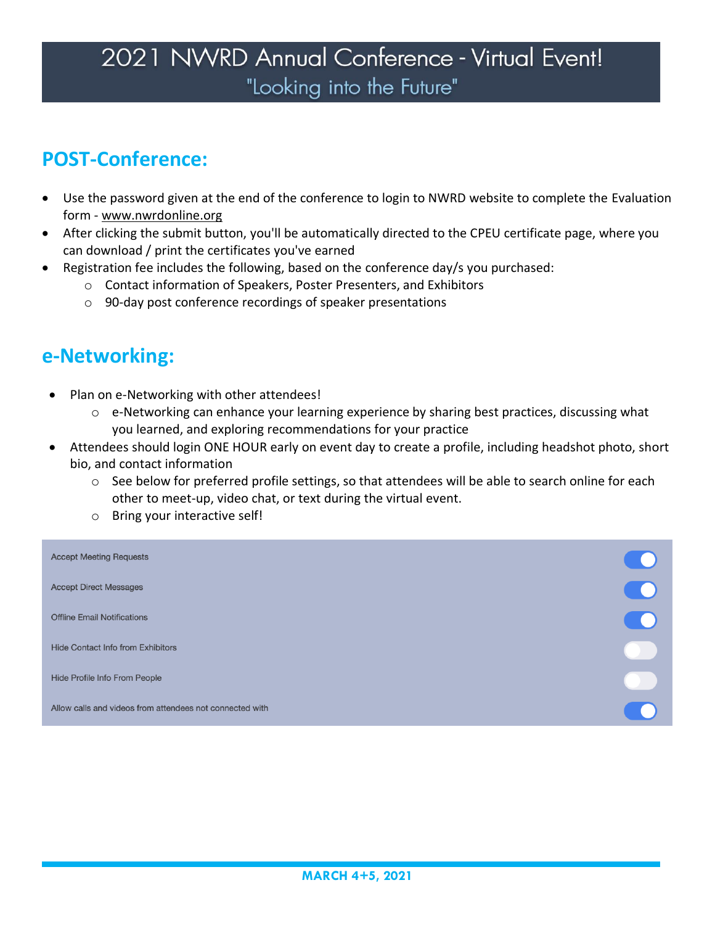## **POST-Conference:**

- Use the password given at the end of the conference to login to NWRD website to complete the Evaluation form - www.nwrdonline.org
- After clicking the submit button, you'll be automatically directed to the CPEU certificate page, where you can download / print the certificates you've earned
- Registration fee includes the following, based on the conference day/s you purchased:
	- o Contact information of Speakers, Poster Presenters, and Exhibitors
	- o 90-day post conference recordings of speaker presentations

#### **e-Networking:**

- Plan on e-Networking with other attendees!
	- $\circ$  e-Networking can enhance your learning experience by sharing best practices, discussing what you learned, and exploring recommendations for your practice
- Attendees should login ONE HOUR early on event day to create a profile, including headshot photo, short bio, and contact information
	- o See below for preferred profile settings, so that attendees will be able to search online for each other to meet-up, video chat, or text during the virtual event.
	- o Bring your interactive self!

| <b>Accept Meeting Requests</b>                           |  |
|----------------------------------------------------------|--|
| <b>Accept Direct Messages</b>                            |  |
| <b>Offline Email Notifications</b>                       |  |
| <b>Hide Contact Info from Exhibitors</b>                 |  |
| Hide Profile Info From People                            |  |
| Allow calls and videos from attendees not connected with |  |